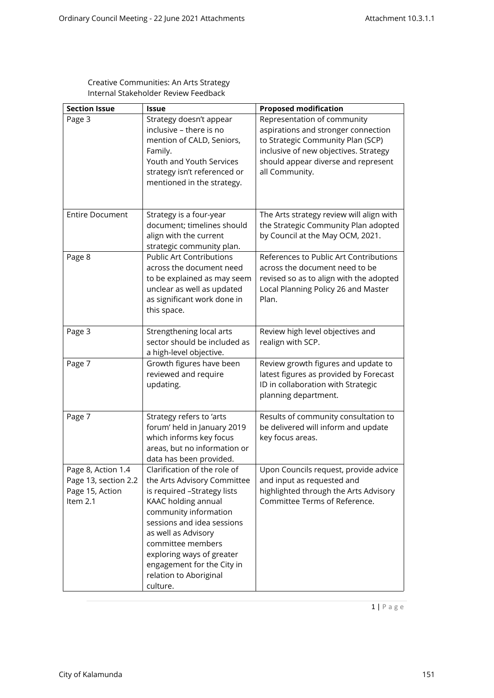| Creative Communities: An Arts Strategy |
|----------------------------------------|
| Internal Stakeholder Review Feedback   |

| <b>Section Issue</b>                                                      | <b>Issue</b>                                                                                                                                                                                                                                                                                                          | <b>Proposed modification</b>                                                                                                                                                                              |
|---------------------------------------------------------------------------|-----------------------------------------------------------------------------------------------------------------------------------------------------------------------------------------------------------------------------------------------------------------------------------------------------------------------|-----------------------------------------------------------------------------------------------------------------------------------------------------------------------------------------------------------|
| Page 3                                                                    | Strategy doesn't appear<br>inclusive - there is no<br>mention of CALD, Seniors,<br>Family.<br>Youth and Youth Services<br>strategy isn't referenced or<br>mentioned in the strategy.                                                                                                                                  | Representation of community<br>aspirations and stronger connection<br>to Strategic Community Plan (SCP)<br>inclusive of new objectives. Strategy<br>should appear diverse and represent<br>all Community. |
| <b>Entire Document</b>                                                    | Strategy is a four-year<br>document; timelines should<br>align with the current<br>strategic community plan.                                                                                                                                                                                                          | The Arts strategy review will align with<br>the Strategic Community Plan adopted<br>by Council at the May OCM, 2021.                                                                                      |
| Page 8                                                                    | <b>Public Art Contributions</b><br>across the document need<br>to be explained as may seem<br>unclear as well as updated<br>as significant work done in<br>this space.                                                                                                                                                | References to Public Art Contributions<br>across the document need to be<br>revised so as to align with the adopted<br>Local Planning Policy 26 and Master<br>Plan.                                       |
| Page 3                                                                    | Strengthening local arts<br>sector should be included as<br>a high-level objective.                                                                                                                                                                                                                                   | Review high level objectives and<br>realign with SCP.                                                                                                                                                     |
| Page 7                                                                    | Growth figures have been<br>reviewed and require<br>updating.                                                                                                                                                                                                                                                         | Review growth figures and update to<br>latest figures as provided by Forecast<br>ID in collaboration with Strategic<br>planning department.                                                               |
| Page 7                                                                    | Strategy refers to 'arts<br>forum' held in January 2019<br>which informs key focus<br>areas, but no information or<br>data has been provided.                                                                                                                                                                         | Results of community consultation to<br>be delivered will inform and update<br>key focus areas.                                                                                                           |
| Page 8, Action 1.4<br>Page 13, section 2.2<br>Page 15, Action<br>Item 2.1 | Clarification of the role of<br>the Arts Advisory Committee<br>is required -Strategy lists<br>KAAC holding annual<br>community information<br>sessions and idea sessions<br>as well as Advisory<br>committee members<br>exploring ways of greater<br>engagement for the City in<br>relation to Aboriginal<br>culture. | Upon Councils request, provide advice<br>and input as requested and<br>highlighted through the Arts Advisory<br>Committee Terms of Reference.                                                             |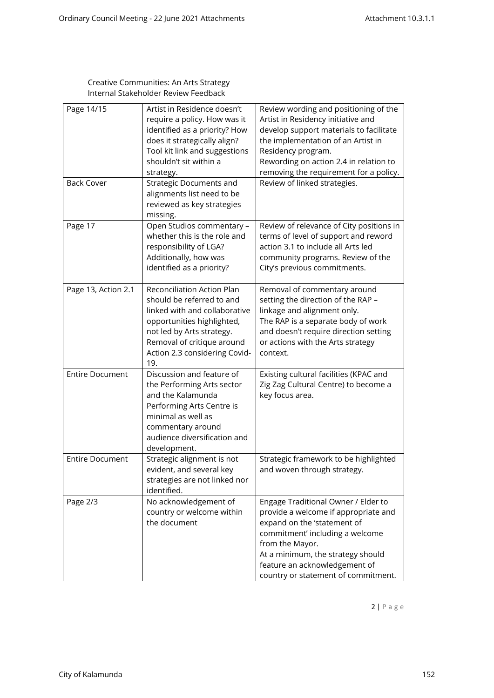## Creative Communities: An Arts Strategy Internal Stakeholder Review Feedback

| Page 14/15<br><b>Back Cover</b> | Artist in Residence doesn't<br>require a policy. How was it<br>identified as a priority? How<br>does it strategically align?<br>Tool kit link and suggestions<br>shouldn't sit within a<br>strategy.<br><b>Strategic Documents and</b><br>alignments list need to be<br>reviewed as key strategies<br>missing. | Review wording and positioning of the<br>Artist in Residency initiative and<br>develop support materials to facilitate<br>the implementation of an Artist in<br>Residency program.<br>Rewording on action 2.4 in relation to<br>removing the requirement for a policy.<br>Review of linked strategies. |
|---------------------------------|----------------------------------------------------------------------------------------------------------------------------------------------------------------------------------------------------------------------------------------------------------------------------------------------------------------|--------------------------------------------------------------------------------------------------------------------------------------------------------------------------------------------------------------------------------------------------------------------------------------------------------|
| Page 17                         | Open Studios commentary -<br>whether this is the role and<br>responsibility of LGA?<br>Additionally, how was<br>identified as a priority?                                                                                                                                                                      | Review of relevance of City positions in<br>terms of level of support and reword<br>action 3.1 to include all Arts led<br>community programs. Review of the<br>City's previous commitments.                                                                                                            |
| Page 13, Action 2.1             | Reconciliation Action Plan<br>should be referred to and<br>linked with and collaborative<br>opportunities highlighted,<br>not led by Arts strategy.<br>Removal of critique around<br>Action 2.3 considering Covid-<br>19.                                                                                      | Removal of commentary around<br>setting the direction of the RAP -<br>linkage and alignment only.<br>The RAP is a separate body of work<br>and doesn't require direction setting<br>or actions with the Arts strategy<br>context.                                                                      |
| <b>Entire Document</b>          | Discussion and feature of<br>the Performing Arts sector<br>and the Kalamunda<br>Performing Arts Centre is<br>minimal as well as<br>commentary around<br>audience diversification and<br>development.                                                                                                           | Existing cultural facilities (KPAC and<br>Zig Zag Cultural Centre) to become a<br>key focus area.                                                                                                                                                                                                      |
| <b>Entire Document</b>          | Strategic alignment is not<br>evident, and several key<br>strategies are not linked nor<br>identified.                                                                                                                                                                                                         | Strategic framework to be highlighted<br>and woven through strategy.                                                                                                                                                                                                                                   |
| Page 2/3                        | No acknowledgement of<br>country or welcome within<br>the document                                                                                                                                                                                                                                             | Engage Traditional Owner / Elder to<br>provide a welcome if appropriate and<br>expand on the 'statement of<br>commitment' including a welcome<br>from the Mayor.<br>At a minimum, the strategy should<br>feature an acknowledgement of<br>country or statement of commitment.                          |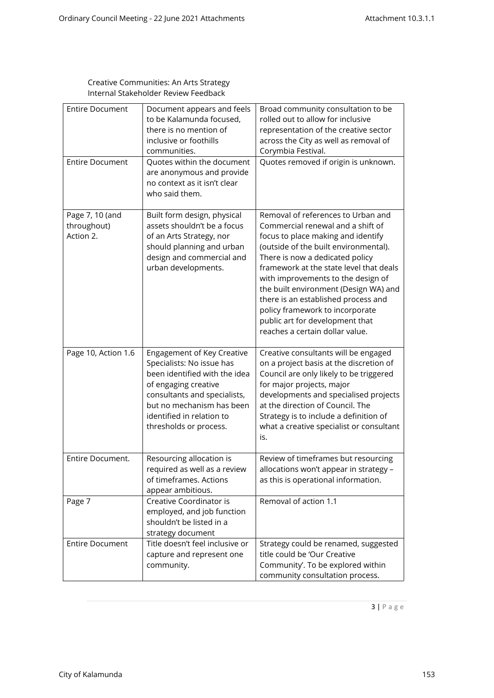## Creative Communities: An Arts Strategy Internal Stakeholder Review Feedback

| <b>Entire Document</b><br><b>Entire Document</b> | Document appears and feels<br>to be Kalamunda focused,<br>there is no mention of<br>inclusive or foothills<br>communities.<br>Quotes within the document                                                                             | Broad community consultation to be<br>rolled out to allow for inclusive<br>representation of the creative sector<br>across the City as well as removal of<br>Corymbia Festival.<br>Quotes removed if origin is unknown.                                                                                                                                                                                                                                             |
|--------------------------------------------------|--------------------------------------------------------------------------------------------------------------------------------------------------------------------------------------------------------------------------------------|---------------------------------------------------------------------------------------------------------------------------------------------------------------------------------------------------------------------------------------------------------------------------------------------------------------------------------------------------------------------------------------------------------------------------------------------------------------------|
|                                                  | are anonymous and provide<br>no context as it isn't clear<br>who said them.                                                                                                                                                          |                                                                                                                                                                                                                                                                                                                                                                                                                                                                     |
| Page 7, 10 (and<br>throughout)<br>Action 2.      | Built form design, physical<br>assets shouldn't be a focus<br>of an Arts Strategy, nor<br>should planning and urban<br>design and commercial and<br>urban developments.                                                              | Removal of references to Urban and<br>Commercial renewal and a shift of<br>focus to place making and identify<br>(outside of the built environmental).<br>There is now a dedicated policy<br>framework at the state level that deals<br>with improvements to the design of<br>the built environment (Design WA) and<br>there is an established process and<br>policy framework to incorporate<br>public art for development that<br>reaches a certain dollar value. |
| Page 10, Action 1.6                              | Engagement of Key Creative<br>Specialists: No issue has<br>been identified with the idea<br>of engaging creative<br>consultants and specialists,<br>but no mechanism has been<br>identified in relation to<br>thresholds or process. | Creative consultants will be engaged<br>on a project basis at the discretion of<br>Council are only likely to be triggered<br>for major projects, major<br>developments and specialised projects<br>at the direction of Council. The<br>Strategy is to include a definition of<br>what a creative specialist or consultant<br>is.                                                                                                                                   |
| Entire Document.                                 | Resourcing allocation is<br>required as well as a review<br>of timeframes. Actions<br>appear ambitious.                                                                                                                              | Review of timeframes but resourcing<br>allocations won't appear in strategy -<br>as this is operational information.                                                                                                                                                                                                                                                                                                                                                |
| Page 7                                           | Creative Coordinator is<br>employed, and job function<br>shouldn't be listed in a<br>strategy document                                                                                                                               | Removal of action 1.1                                                                                                                                                                                                                                                                                                                                                                                                                                               |
| <b>Entire Document</b>                           | Title doesn't feel inclusive or<br>capture and represent one<br>community.                                                                                                                                                           | Strategy could be renamed, suggested<br>title could be 'Our Creative<br>Community'. To be explored within<br>community consultation process.                                                                                                                                                                                                                                                                                                                        |